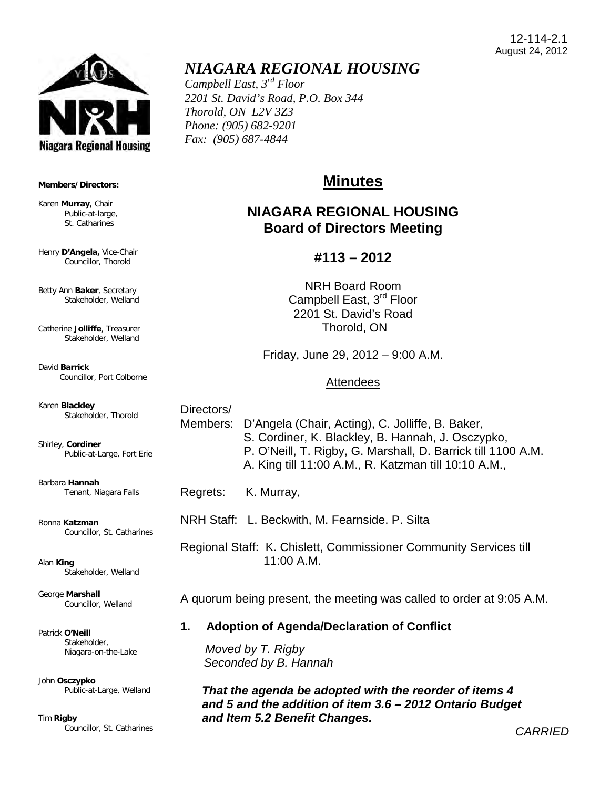

#### **Members/Directors:**

Karen **Murray**, Chair Public-at-large, St. Catharines

Henry **D'Angela,** Vice-Chair Councillor, Thorold

Betty Ann **Baker**, Secretary Stakeholder, Welland

Catherine **Jolliffe**, Treasurer Stakeholder, Welland

David **Barrick** Councillor, Port Colborne

Karen **Blackley** Stakeholder, Thorold

Shirley, **Cordiner** Public-at-Large, Fort Erie

Barbara **Hannah** Tenant, Niagara Falls

Ronna **Katzman** Councillor, St. Catharines

Alan **King** Stakeholder, Welland

George **Marshall** Councillor, Welland

Patrick **O'Neill** Stakeholder, Niagara-on-the-Lake

John **Osczypko** Public-at-Large, Welland

Tim **Rigby** Councillor, St. Catharines

## *NIAGARA REGIONAL HOUSING*

*Campbell East, 3rd Floor 2201 St. David's Road, P.O. Box 344 Thorold, ON L2V 3Z3 Phone: (905) 682-9201 Fax: (905) 687-4844* 

# **Minutes**

## **NIAGARA REGIONAL HOUSING Board of Directors Meeting**

## **#113 – 2012**

NRH Board Room Campbell East, 3<sup>rd</sup> Floor 2201 St. David's Road Thorold, ON

Friday, June 29, 2012 – 9:00 A.M.

### Attendees

 Directors/ Members: D'Angela (Chair, Acting), C. Jolliffe, B. Baker, S. Cordiner, K. Blackley, B. Hannah, J. Osczypko, P. O'Neill, T. Rigby, G. Marshall, D. Barrick till 1100 A.M. A. King till 11:00 A.M., R. Katzman till 10:10 A.M.,

Regrets: K. Murray,

NRH Staff: L. Beckwith, M. Fearnside. P. Silta

 Regional Staff: K. Chislett, Commissioner Community Services till 11:00 A.M.

A quorum being present, the meeting was called to order at 9:05 A.M.

### **1. Adoption of Agenda/Declaration of Conflict**

 *Moved by T. Rigby Seconded by B. Hannah*

*That the agenda be adopted with the reorder of items 4 and 5 and the addition of item 3.6 – 2012 Ontario Budget and Item 5.2 Benefit Changes.* 

*CARRIED*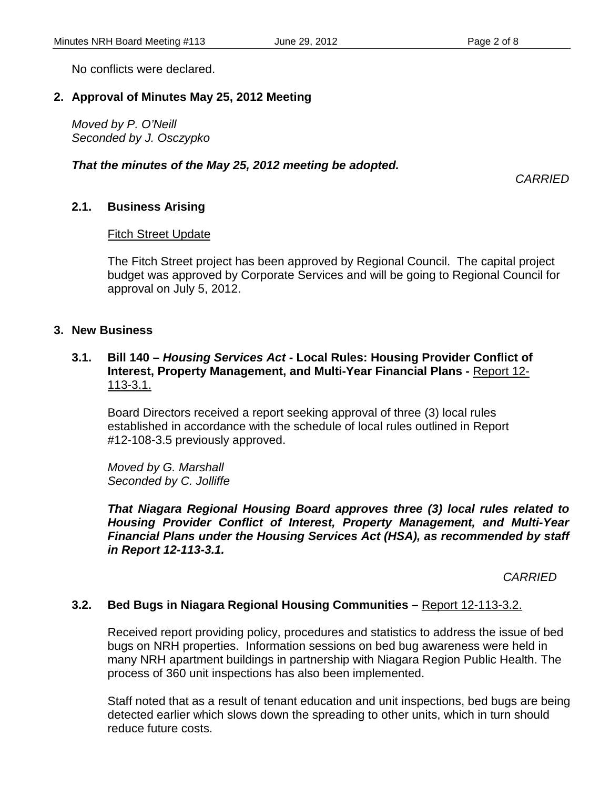No conflicts were declared.

### **2. Approval of Minutes May 25, 2012 Meeting**

 *Moved by P. O'Neill Seconded by J. Osczypko*

#### *That the minutes of the May 25, 2012 meeting be adopted.*

*CARRIED*

### **2.1. Business Arising**

#### Fitch Street Update

 The Fitch Street project has been approved by Regional Council. The capital project budget was approved by Corporate Services and will be going to Regional Council for approval on July 5, 2012.

#### **3. New Business**

### **3.1. Bill 140 –** *Housing Services Act* **- Local Rules: Housing Provider Conflict of Interest, Property Management, and Multi-Year Financial Plans -** Report 12- 113-3.1.

Board Directors received a report seeking approval of three (3) local rules established in accordance with the schedule of local rules outlined in Report #12-108-3.5 previously approved.

*Moved by G. Marshall Seconded by C. Jolliffe*

*That Niagara Regional Housing Board approves three (3) local rules related to Housing Provider Conflict of Interest, Property Management, and Multi-Year Financial Plans under the Housing Services Act (HSA), as recommended by staff in Report 12-113-3.1.* 

 *CARRIED*

#### **3.2. Bed Bugs in Niagara Regional Housing Communities –** Report 12-113-3.2.

Received report providing policy, procedures and statistics to address the issue of bed bugs on NRH properties. Information sessions on bed bug awareness were held in many NRH apartment buildings in partnership with Niagara Region Public Health. The process of 360 unit inspections has also been implemented.

 Staff noted that as a result of tenant education and unit inspections, bed bugs are being detected earlier which slows down the spreading to other units, which in turn should reduce future costs.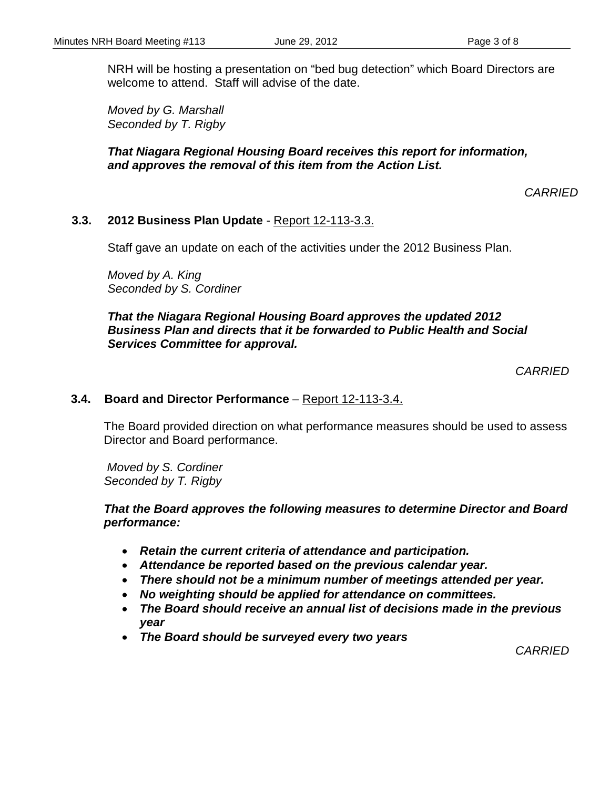NRH will be hosting a presentation on "bed bug detection" which Board Directors are welcome to attend. Staff will advise of the date.

 *Moved by G. Marshall Seconded by T. Rigby*

### *That Niagara Regional Housing Board receives this report for information, and approves the removal of this item from the Action List.*

*CARRIED*

### **3.3. 2012 Business Plan Update** - Report 12-113-3.3.

Staff gave an update on each of the activities under the 2012 Business Plan.

*Moved by A. King Seconded by S. Cordiner*

### *That the Niagara Regional Housing Board approves the updated 2012 Business Plan and directs that it be forwarded to Public Health and Social Services Committee for approval.*

*CARRIED*

### **3.4. Board and Director Performance** – Report 12-113-3.4.

The Board provided direction on what performance measures should be used to assess Director and Board performance.

 *Moved by S. Cordiner Seconded by T. Rigby*

#### *That the Board approves the following measures to determine Director and Board performance:*

- *Retain the current criteria of attendance and participation.*
- *Attendance be reported based on the previous calendar year.*
- *There should not be a minimum number of meetings attended per year.*
- *No weighting should be applied for attendance on committees.*
- *The Board should receive an annual list of decisions made in the previous year*
- *The Board should be surveyed every two years*

*CARRIED*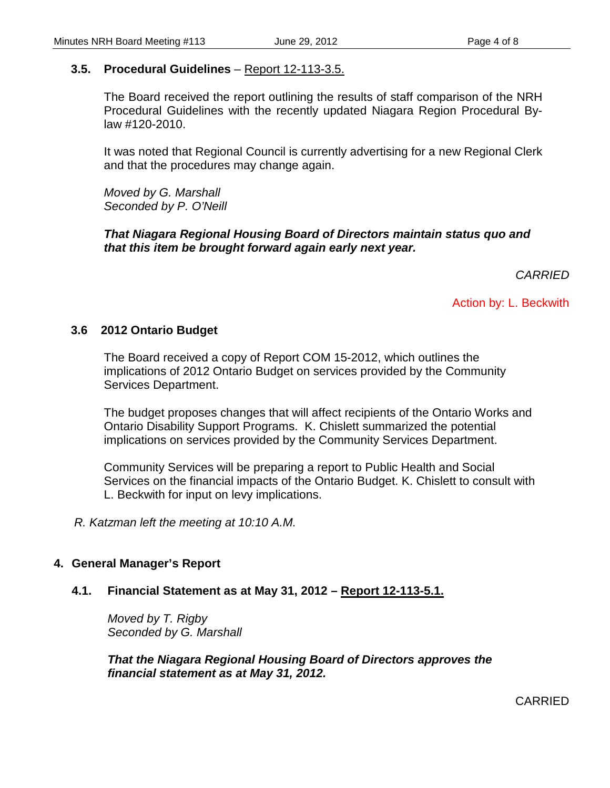### **3.5. Procedural Guidelines** – Report 12-113-3.5.

The Board received the report outlining the results of staff comparison of the NRH Procedural Guidelines with the recently updated Niagara Region Procedural Bylaw #120-2010.

It was noted that Regional Council is currently advertising for a new Regional Clerk and that the procedures may change again.

*Moved by G. Marshall Seconded by P. O'Neill*

*That Niagara Regional Housing Board of Directors maintain status quo and that this item be brought forward again early next year.* 

 *CARRIED*

Action by: L. Beckwith

### **3.6 2012 Ontario Budget**

The Board received a copy of Report COM 15-2012, which outlines the implications of 2012 Ontario Budget on services provided by the Community Services Department.

The budget proposes changes that will affect recipients of the Ontario Works and Ontario Disability Support Programs. K. Chislett summarized the potential implications on services provided by the Community Services Department.

Community Services will be preparing a report to Public Health and Social Services on the financial impacts of the Ontario Budget. K. Chislett to consult with L. Beckwith for input on levy implications.

*R. Katzman left the meeting at 10:10 A.M.* 

### **4. General Manager's Report**

### **4.1. Financial Statement as at May 31, 2012 – Report 12-113-5.1.**

*Moved by T. Rigby Seconded by G. Marshall*

*That the Niagara Regional Housing Board of Directors approves the financial statement as at May 31, 2012.*

CARRIED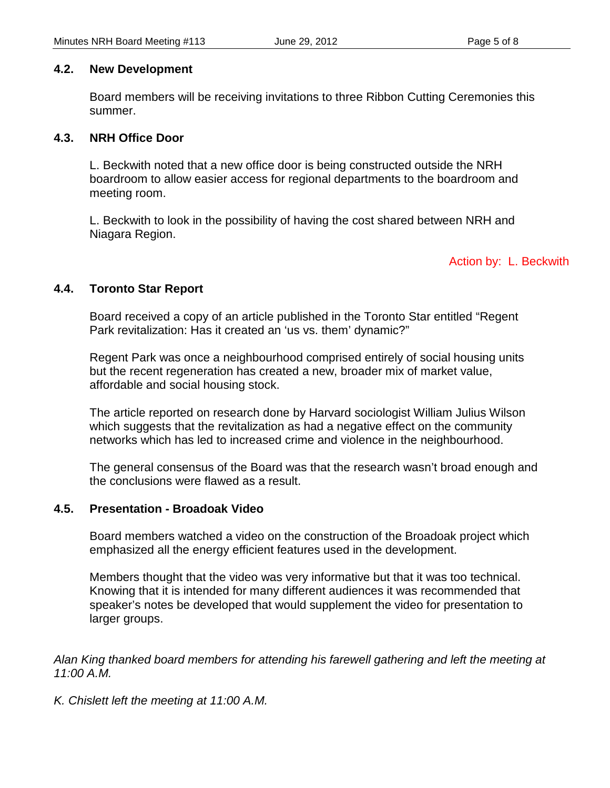#### **4.2. New Development**

Board members will be receiving invitations to three Ribbon Cutting Ceremonies this summer.

#### **4.3. NRH Office Door**

L. Beckwith noted that a new office door is being constructed outside the NRH boardroom to allow easier access for regional departments to the boardroom and meeting room.

L. Beckwith to look in the possibility of having the cost shared between NRH and Niagara Region.

### Action by: L. Beckwith

### **4.4. Toronto Star Report**

Board received a copy of an article published in the Toronto Star entitled "Regent Park revitalization: Has it created an 'us vs. them' dynamic?"

Regent Park was once a neighbourhood comprised entirely of social housing units but the recent regeneration has created a new, broader mix of market value, affordable and social housing stock.

The article reported on research done by Harvard sociologist William Julius Wilson which suggests that the revitalization as had a negative effect on the community networks which has led to increased crime and violence in the neighbourhood.

The general consensus of the Board was that the research wasn't broad enough and the conclusions were flawed as a result.

### **4.5. Presentation - Broadoak Video**

Board members watched a video on the construction of the Broadoak project which emphasized all the energy efficient features used in the development.

Members thought that the video was very informative but that it was too technical. Knowing that it is intended for many different audiences it was recommended that speaker's notes be developed that would supplement the video for presentation to larger groups.

*Alan King thanked board members for attending his farewell gathering and left the meeting at 11:00 A.M.* 

*K. Chislett left the meeting at 11:00 A.M.*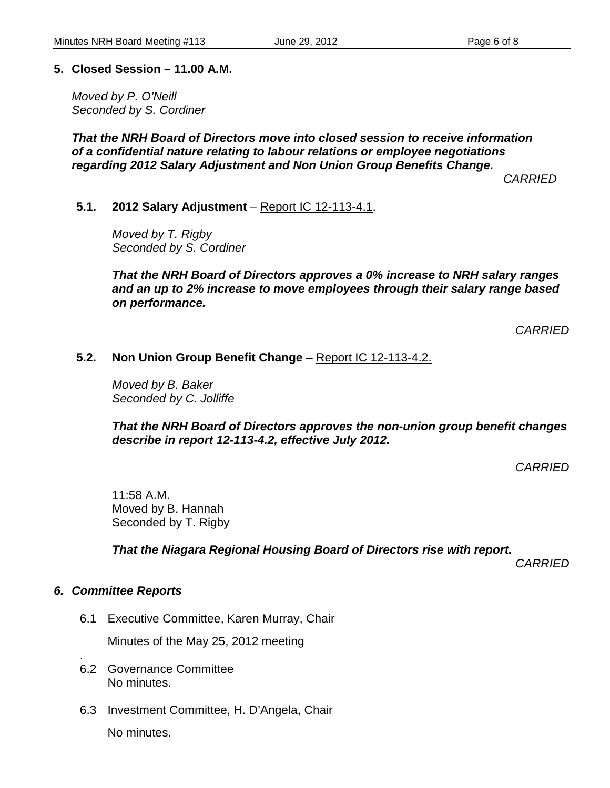### **5. Closed Session – 11.00 A.M.**

*Moved by P. O'Neill Seconded by S. Cordiner*

*That the NRH Board of Directors move into closed session to receive information of a confidential nature relating to labour relations or employee negotiations regarding 2012 Salary Adjustment and Non Union Group Benefits Change.*

 *CARRIED*

**5.1. 2012 Salary Adjustment** – Report IC 12-113-4.1.

*Moved by T. Rigby Seconded by S. Cordiner*

*That the NRH Board of Directors approves a 0% increase to NRH salary ranges and an up to 2% increase to move employees through their salary range based on performance.*

*CARRIED*

### **5.2. Non Union Group Benefit Change** – Report IC 12-113-4.2.

*Moved by B. Baker Seconded by C. Jolliffe*

*That the NRH Board of Directors approves the non-union group benefit changes describe in report 12-113-4.2, effective July 2012.*

*CARRIED*

11:58 A.M. Moved by B. Hannah Seconded by T. Rigby

*That the Niagara Regional Housing Board of Directors rise with report.*

 *CARRIED*

### *6. Committee Reports*

6.1 Executive Committee, Karen Murray, Chair

Minutes of the May 25, 2012 meeting

- . 6.2 Governance Committee No minutes.
- 6.3 Investment Committee, H. D'Angela, Chair

No minutes.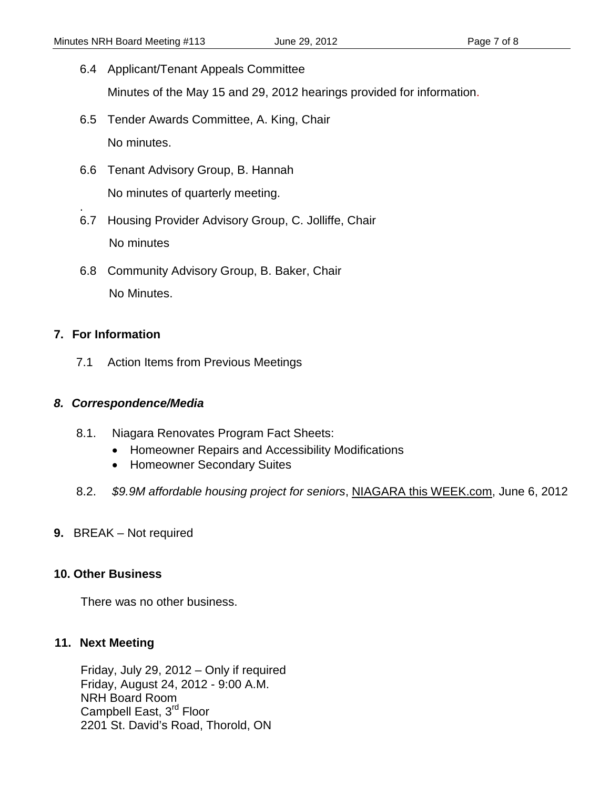- 6.4 Applicant/Tenant Appeals Committee Minutes of the May 15 and 29, 2012 hearings provided for information.
- 6.5 Tender Awards Committee, A. King, Chair No minutes.
- 6.6 Tenant Advisory Group, B. Hannah No minutes of quarterly meeting.
- . 6.7 Housing Provider Advisory Group, C. Jolliffe, Chair No minutes
- 6.8 Community Advisory Group, B. Baker, Chair No Minutes.

### **7. For Information**

7.1 Action Items from Previous Meetings

### *8. Correspondence/Media*

- 8.1. Niagara Renovates Program Fact Sheets:
	- Homeowner Repairs and Accessibility Modifications
	- Homeowner Secondary Suites
- 8.2. *\$9.9M affordable housing project for seniors*, NIAGARA this WEEK.com, June 6, 2012
- **9.** BREAK Not required

### **10. Other Business**

There was no other business.

### **11. Next Meeting**

Friday, July 29, 2012 – Only if required Friday, August 24, 2012 - 9:00 A.M. NRH Board Room Campbell East, 3<sup>rd</sup> Floor 2201 St. David's Road, Thorold, ON